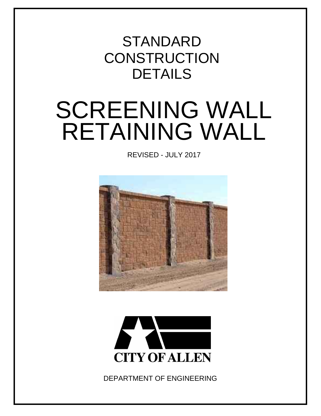## DETAILS **CONSTRUCTION STANDARD**

# SCREENING WALL RETAINING WALL

REVISED - JULY 2017





DEPARTMENT OF ENGINEERING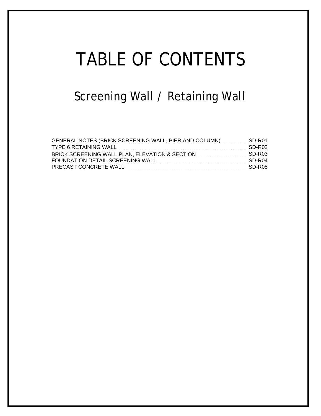# TABLE OF CONTENTS

## Screening Wall / Retaining Wall

| GENERAL NOTES (BRICK SCREENING WALL, PIER AND COLUMN)  SD-R01   |        |
|-----------------------------------------------------------------|--------|
|                                                                 | SD-R02 |
| BRICK SCREENING WALL PLAN, ELEVATION & SECTION CONTROLL SID-R03 |        |
|                                                                 |        |
|                                                                 |        |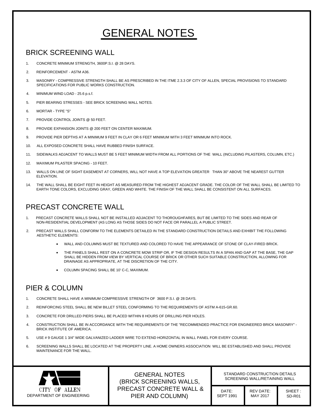### GENERAL NOTES

#### BRICK SCREENING WALL

- 1. CONCRETE MINIMUM STRENGTH, 3600P.S.I. @ 28 DAYS.
- 2. REINFORCEMENT ASTM A36.
- 1. CONCRETE MINIMUM STRENGTH, 3600P.S.I. @ 28 DAYS.<br>2. REINFORCEMENT ASTM A36.<br>3. MASONRY COMPRESSIVE STRENGTH SHALL BE AS PRESCRIBED IN THE ITME 2.3.3 OF CITY OF ALLEN, SPECIAL PROVISIONS TO STANDARD<br>
- 4. MINIMUM WIND LOAD 25.6 p.s.f.
- 5. PIER BEARING STRESSES SEE BRICK SCREENING WALL NOTES.
- 6. MORTAR TYPE "S"
- 7. PROVIDE CONTROL JOINTS @ 50 FEET.
- 8. PROVIDE EXPANSION JOINTS @ 200 FEET ON CENTER MAXIMUM.
- 9. PROVIDE PIER DEPTHS AT A MINIMUM 9 FEET IN CLAY OR 6 FEET MINIMUM WITH 3 FEET MINIMUM INTO ROCK.
- 10. ALL EXPOSED CONCRETE SHALL HAVE RUBBED FINISH SURFACE.
- 11. SIDEWALKS ADJACENT TO WALLS MUST BE 5 FEET MINIMUM WIDTH FROM ALL PORTIONS OF THE WALL (INCLUDING PILASTERS, COLUMN, ETC.)
- 12. MAXIMUM PILASTER SPACING 10 FEET.
- 11. SIDEWALKS ADJACENT TO WALLS MUST BE 5 FEET MINIMUM WIDTH FROM ALL PORTIONS OF THE WALL (INCLUDING PILASTERS, COLUMN,<br>12. MAXIMUM PILASTER SPACING 10 FEET.<br>13. WALLS ON LINE OF SIGHT EASEMENT AT CORNERS, WILL NOT HAVE 12. MAXIMUM PILASTER SPACING - 10 FEET.<br>13. WALLS ON LINE OF SIGHT EASEMENT AT CORNERS, WILL NOT HAVE A TOP ELEVATION GREATER THAN 30" ABOVE THE NEAREST GUTTER<br>ELEVATION.<br>14. THE WALL SHALL BE EIGHT FEET IN HEIGHT AS MEASU
- THE WALL SHALL BE EIGHT FEET IN HEIGHT AS MEASURED FROM THE HIGHEST ADJACENT GRADE. THE COLOR OF THE WALL SHAL<br>EARTH TONE COLORS, EXCLUDING GRAY, GREEN AND WHITE. THE FINISH OF THE WALL SHALL BE CONSISTENT ON ALL SURFACES. ELEVATION.<br>14. THE WALL SHALL BE EIGHT FEET IN HEIGHT AS MEASURED FROM THE HIGHEST ADJACENT GRADE. THE COLOR OF THE WALL SHALL<br>14. EARTH TONE COLORS, EXCLUDING GRAY, GREEN AND WHITE. THE FINISH OF THE WALL SHALL BE CONSIST

- PRECAST CONCRETE WALL<br>1. PRECAST CONCRETE WALLS SHALL NOT BE INSTALLED ADJACENT TO THOROUGHFARES, BUT BE LIMITED TO THE SIDES AND REAR OF NON-RESIDENTIAL DEVELOPMENT (AS LONG AS THOSE SIDES DO NOT FACE OR PARALLEL A PUBLIC STREET. 2. PRECAST CONCRETE WALLS SHALL NOT BE INSTALLED ADJACENT TO THOROUGHFARES, BUT BE LIMITED TO THE SIDES AND REAR OF<br>2. PRECAST WALLS SHALL DEVELOPMENT (AS LONG AS THOSE SIDES DO NOT FACE OR PARALLEL A PUBLIC STREET.<br>2. PRE
- PRECAST WALLS SHALL CONFORM TO THE ELEMENTS DETAILED IN THE STANDARD CONSTRUCTION DETAILS AND EXHIBIT THE FOLLOWING<br>AESTHETIC ELEMENTS:
	- · WALL AND COLUMNS MUST BE TEXTURED AND COLORED TO HAVE THE APPEARANCE OF STONE OF CLAY-FIRED BRICK.
	- THE PANELS SHALL REST ON A CONCRETE MOW STRIP OR, IF THE DESIGN RESULTS IN A SPAN AND GAP AT THE BASE, THE GAP MENTER.<br>WALL AND COLUMNS MUST BE TEXTURED AND COLORED TO HAVE THE APPEARANCE OF STONE OF CLAY-FIRED BRICK.<br>THE PANELS SHALL REST ON A CONCRETE MOW STRIP OR, IF THE DESIGN RESULTS IN A SPAN AND GAP AT THE BASE, THE (<br>SHALL SHALL BE HIDDEN FROM VIEW BY VERTICAL COURSE OF BRICK<br>DRAINAGE AS APPROPRIATE, AT THE DISCRETION OF THE CITY. DRAINAGE AS APPROPRIATE, AT THE DISCRETION OF THE CITY.<br>COLUMN SPACING SHALL BE 10' C-C, MAXIMUM.
	-

#### PIER & COLUMN

- 1. CONCRETE SHALL HAVE A MINIMUM COMPRESSIVE STRENGTH OF 3600 P.S.I. @ 28 DAYS.
- 2. REINFORCING STEEL SHALL BE NEW BILLET STEEL CONFORMING TO THE REQUIREMENTS OF ASTM A-615-GR.60.
- 3. CONCRETE FOR DRILLED PIERS SHALL BE PLACED WITHIN 8 HOURS OF DRILLING PIER HOLES.
- 3. CONCRETE FOR DRILLED FIERS SHALL BE FLACED WITHIN 6 HOURS OF DRILLING FIER HOLES.<br>4. CONSTRUCTION SHALL BE IN ACCORDANCE WITH THE REQUIREMENTS OF THE "RECOMMENDED PRACTICE FOR ENGINEERED BRICK MASONRY" -CONSTRUCTION SHALL BE IN A<br>BRICK INSTITUTE OF AMERICA. BRICK INSTITUTE OF AMERICA.<br>5. USE # 9 GAUGE 1 3/4" WIDE GALVANIZED LADDER WIRE TO EXTEND HORIZONTAL IN WALL PANEL FOR EVERY COURSE.<br>6. SCREENING WALLS SHALL BE LOCATED AT THE PROPERTY LINE. A HOME OWNERS ASSOC
- 5. USE # 9 GAUGE 1 3/4" WIDE GALVANIZED LADDER WIRE TO EXTEND HORIZONTAL IN WALL PANEL FOR EVERY COURSE.
- SCREENING WALLS SHALL BE I<br>MAINTENANCE FOR THE WALL. SEREENING WALLS SHALL BE LOCATED AT THE PROPERTY LINE. A HOME OWNERS ASSOCIATION WILL BE ESTABLISHED AND SHALL PROVIDE<br>
MAINTENANCE FOR THE WALL.<br>
CITY OF ALLEN (BRICK SCREENING WALLS, PRECAST CONCRETE WALL & DATE: REV DAT



STANDARD CONSTRUCTION DETAILS SCREENING WALL/RETAINING WALL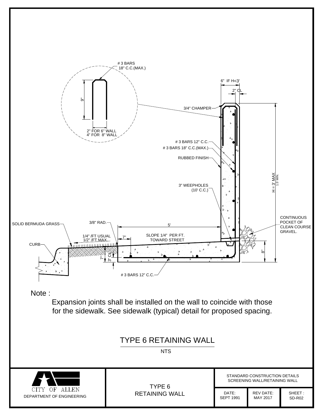

Expansion joints shall be installed on the wall to coincide with those<br>for the sidewalk. See sidewalk (typical) detail for proposed spacing.



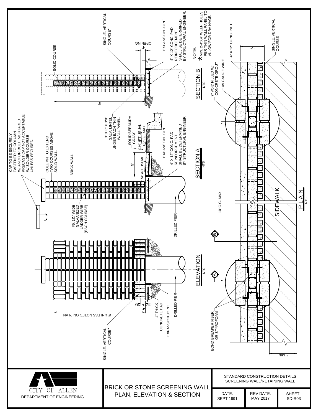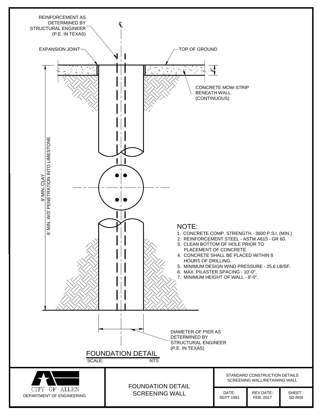